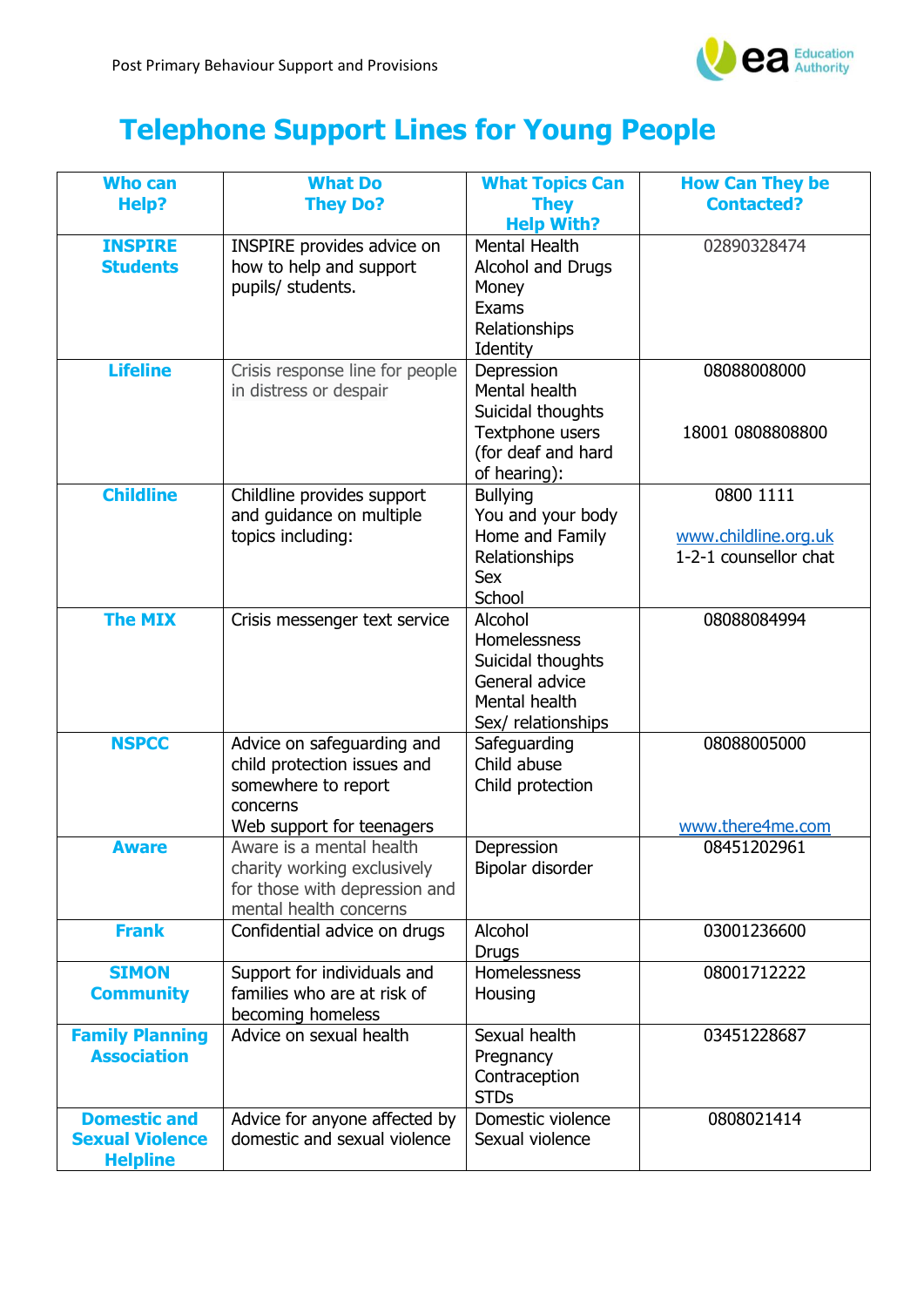

## **Telephone Support Lines for Young People**

| <b>Who can</b>         | <b>What Do</b>                  | <b>What Topics Can</b> | <b>How Can They be</b> |
|------------------------|---------------------------------|------------------------|------------------------|
| Help?                  | <b>They Do?</b>                 | <b>They</b>            | <b>Contacted?</b>      |
|                        |                                 | <b>Help With?</b>      |                        |
| <b>INSPIRE</b>         | INSPIRE provides advice on      | Mental Health          | 02890328474            |
| <b>Students</b>        | how to help and support         | Alcohol and Drugs      |                        |
|                        | pupils/ students.               | Money                  |                        |
|                        |                                 | Exams                  |                        |
|                        |                                 | Relationships          |                        |
|                        |                                 | Identity               |                        |
| <b>Lifeline</b>        | Crisis response line for people | Depression             | 08088008000            |
|                        | in distress or despair          | Mental health          |                        |
|                        |                                 | Suicidal thoughts      |                        |
|                        |                                 | Textphone users        | 18001 0808808800       |
|                        |                                 | (for deaf and hard     |                        |
|                        |                                 | of hearing):           |                        |
| <b>Childline</b>       | Childline provides support      | <b>Bullying</b>        | 0800 1111              |
|                        | and guidance on multiple        | You and your body      |                        |
|                        | topics including:               | Home and Family        | www.childline.org.uk   |
|                        |                                 | Relationships          | 1-2-1 counsellor chat  |
|                        |                                 | <b>Sex</b>             |                        |
|                        |                                 | School                 |                        |
| <b>The MIX</b>         | Crisis messenger text service   | Alcohol                | 08088084994            |
|                        |                                 | Homelessness           |                        |
|                        |                                 | Suicidal thoughts      |                        |
|                        |                                 | General advice         |                        |
|                        |                                 | Mental health          |                        |
|                        |                                 | Sex/ relationships     |                        |
| <b>NSPCC</b>           | Advice on safeguarding and      | Safeguarding           | 08088005000            |
|                        | child protection issues and     | Child abuse            |                        |
|                        | somewhere to report             | Child protection       |                        |
|                        | concerns                        |                        |                        |
|                        | Web support for teenagers       |                        | www.there4me.com       |
| <b>Aware</b>           | Aware is a mental health        | Depression             | 08451202961            |
|                        | charity working exclusively     | Bipolar disorder       |                        |
|                        | for those with depression and   |                        |                        |
|                        | mental health concerns          |                        |                        |
| <b>Frank</b>           | Confidential advice on drugs    | Alcohol                | 03001236600            |
|                        |                                 | <b>Drugs</b>           |                        |
| <b>SIMON</b>           | Support for individuals and     | Homelessness           | 08001712222            |
| <b>Community</b>       | families who are at risk of     | Housing                |                        |
|                        | becoming homeless               |                        |                        |
| <b>Family Planning</b> | Advice on sexual health         | Sexual health          | 03451228687            |
| <b>Association</b>     |                                 | Pregnancy              |                        |
|                        |                                 | Contraception          |                        |
|                        |                                 | <b>STDs</b>            |                        |
| <b>Domestic and</b>    | Advice for anyone affected by   | Domestic violence      | 0808021414             |
| <b>Sexual Violence</b> | domestic and sexual violence    | Sexual violence        |                        |
| <b>Helpline</b>        |                                 |                        |                        |
|                        |                                 |                        |                        |